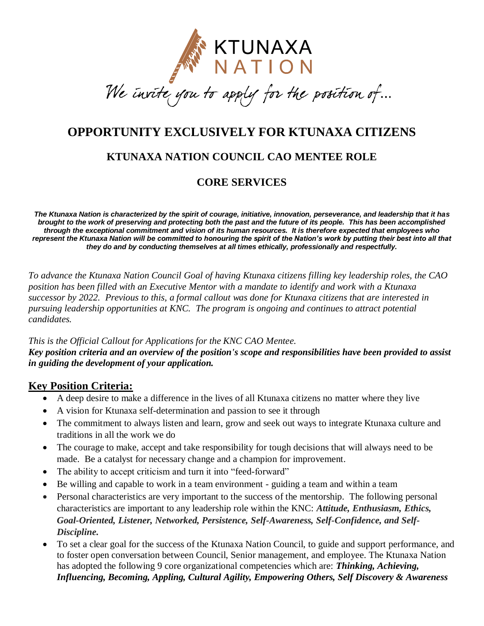

.<br>H

# **OPPORTUNITY EXCLUSIVELY FOR KTUNAXA CITIZENS**

## **KTUNAXA NATION COUNCIL CAO MENTEE ROLE**

## **CORE SERVICES**

*The Ktunaxa Nation is characterized by the spirit of courage, initiative, innovation, perseverance, and leadership that it has brought to the work of preserving and protecting both the past and the future of its people. This has been accomplished through the exceptional commitment and vision of its human resources. It is therefore expected that employees who represent the Ktunaxa Nation will be committed to honouring the spirit of the Nation's work by putting their best into all that they do and by conducting themselves at all times ethically, professionally and respectfully.*

*To advance the Ktunaxa Nation Council Goal of having Ktunaxa citizens filling key leadership roles, the CAO position has been filled with an Executive Mentor with a mandate to identify and work with a Ktunaxa successor by 2022. Previous to this, a formal callout was done for Ktunaxa citizens that are interested in pursuing leadership opportunities at KNC. The program is ongoing and continues to attract potential candidates.* 

#### *This is the Official Callout for Applications for the KNC CAO Mentee. Key position criteria and an overview of the position's scope and responsibilities have been provided to assist in guiding the development of your application.*

### **Key Position Criteria:**

- A deep desire to make a difference in the lives of all Ktunaxa citizens no matter where they live
- A vision for Ktunaxa self-determination and passion to see it through
- The commitment to always listen and learn, grow and seek out ways to integrate Ktunaxa culture and traditions in all the work we do
- The courage to make, accept and take responsibility for tough decisions that will always need to be made. Be a catalyst for necessary change and a champion for improvement.
- The ability to accept criticism and turn it into "feed-forward"
- Be willing and capable to work in a team environment guiding a team and within a team
- Personal characteristics are very important to the success of the mentorship. The following personal characteristics are important to any leadership role within the KNC: *Attitude, Enthusiasm, Ethics, Goal-Oriented, Listener, Networked, Persistence, Self-Awareness, Self-Confidence, and Self-Discipline.*
- To set a clear goal for the success of the Ktunaxa Nation Council, to guide and support performance, and to foster open conversation between Council, Senior management, and employee. The Ktunaxa Nation has adopted the following 9 core organizational competencies which are: *Thinking, Achieving, Influencing, Becoming, Appling, Cultural Agility, Empowering Others, Self Discovery & Awareness*